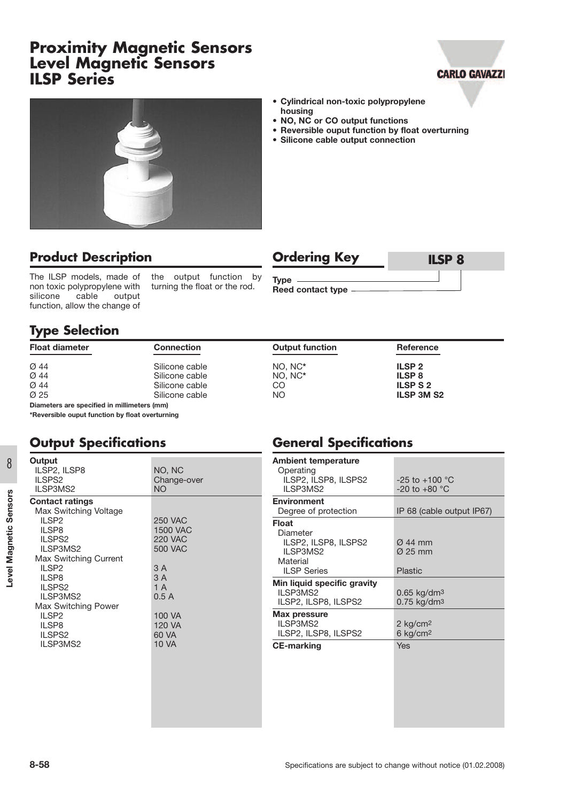## **Proximity Magnetic Sensors Level Magnetic Sensors ILSP Series**





#### **• Cylindrical non-toxic polypropylene housing**

- **• NO, NC or CO output functions**
- **• Reversible ouput function by float overturning**
- **• Silicone cable output connection**

## **Product Description**

The ILSP models, made of non toxic polypropylene with<br>silicone cable output silicone function, allow the change of

the output function by turning the float or the rod.

## **Ordering Key ILSP 8**

**General Specifications**

**Type Reed contact type**

#### **Type Selection**

| <b>Float diameter</b>                       | <b>Connection</b> | <b>Output function</b> | Reference         |  |  |  |
|---------------------------------------------|-------------------|------------------------|-------------------|--|--|--|
| Ø 44                                        | Silicone cable    | NO. NC*                | <b>ILSP 2</b>     |  |  |  |
| Ø 44                                        | Silicone cable    | NO. NC*                | <b>ILSP 8</b>     |  |  |  |
| Ø 44                                        | Silicone cable    | CO                     | <b>ILSPS2</b>     |  |  |  |
| Ø 25                                        | Silicone cable    | NO.                    | <b>ILSP 3M S2</b> |  |  |  |
| Diameters are specified in millimeters (mm) |                   |                        |                   |  |  |  |

**\*Reversible ouput function by float overturning**

#### **Output Specifications**

| 8                         | Output<br>ILSP2, ILSP8<br>ILSPS <sub>2</sub>                                                                                                                                                                                                                  | NO, NC<br>Change-over                                                                                                | <b>Ambient temperature</b><br>Operating<br>ILSP2, ILSP8, ILSPS2                                                                                                                                                                      | $-25$ to $+100$ °C                                                                                                                                                            |
|---------------------------|---------------------------------------------------------------------------------------------------------------------------------------------------------------------------------------------------------------------------------------------------------------|----------------------------------------------------------------------------------------------------------------------|--------------------------------------------------------------------------------------------------------------------------------------------------------------------------------------------------------------------------------------|-------------------------------------------------------------------------------------------------------------------------------------------------------------------------------|
|                           | ILSP3MS2                                                                                                                                                                                                                                                      | NO.                                                                                                                  | ILSP3MS2                                                                                                                                                                                                                             | $-20$ to $+80$ °C                                                                                                                                                             |
| Sensors<br>Level Magnetic | <b>Contact ratings</b><br>Max Switching Voltage<br>ILSP <sub>2</sub><br>ILSP8<br>ILSPS <sub>2</sub><br>ILSP3MS2<br>Max Switching Current<br>ILSP <sub>2</sub><br>ILSP8<br>ILSPS <sub>2</sub><br>ILSP3MS2<br>Max Switching Power<br>ILSP <sub>2</sub><br>ILSP8 | <b>250 VAC</b><br><b>1500 VAC</b><br><b>220 VAC</b><br><b>500 VAC</b><br>3 A<br>3A<br>1A<br>0.5A<br>100 VA<br>120 VA | <b>Environment</b><br>Degree of protection<br>Float<br>Diameter<br>ILSP2, ILSP8, ILSPS2<br>ILSP3MS2<br>Material<br><b>ILSP Series</b><br>Min liquid specific gravity<br>ILSP3MS2<br>ILSP2, ILSP8, ILSPS2<br>Max pressure<br>ILSP3MS2 | IP 68 (cable output IP67)<br>$\varnothing$ 44 mm<br>$\varnothing$ 25 mm<br><b>Plastic</b><br>$0.65$ kg/dm <sup>3</sup><br>$0.75$ kg/dm <sup>3</sup><br>$2$ kg/cm <sup>2</sup> |
|                           | ILSPS2<br>ILSP3MS2                                                                                                                                                                                                                                            | 60 VA<br><b>10 VA</b>                                                                                                | ILSP2, ILSP8, ILSPS2<br><b>CE-marking</b>                                                                                                                                                                                            | $6$ kg/cm <sup>2</sup><br><b>Yes</b>                                                                                                                                          |